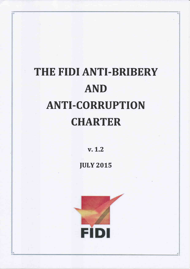# THE FIDI ANTI-BRIBERY AND **ANTI-CORRUPTION CHARTER**

v.L.2

**JULY 2015** 

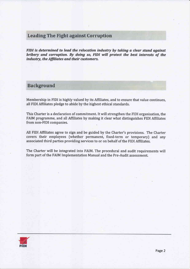# **Leading The Fight against Corruption**

FIDI is determined to lead the relocation industry by taking a clear stand against bribery and corruption. By doing so, FIDI will protect the best interests of the industry, the Affiliates and their customers.

## **Background**

Membership in FIDI is highly valued by its Affiliates, and to ensure that value continues, all FIDI Affiliates pledge to abide by the highest ethical standards.

This Charter is a declaration of commitment. It will strengthen the FIDI organisation, the FAIM programme, and all Affiliates by making it clear what distinguishes FIDI Affiliates from non-FIDI companies.

All FIDI Affiliates agree to sign and be guided by the Charter's provisions. The Charter covers their employees (whether permanent, fixed-term or temporary) and any associated third parties providing services to or on behalf of the FIDI Affiliates.

The Charter will be integrated into FAIM. The procedural and audit requirements will form part of the FAIM Implementation Manual and the Pre-Audit assessment.

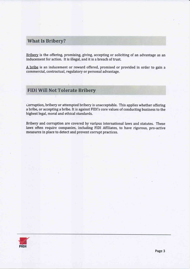# **What Is Bribery?**

Bribery is the offering, promising, giving, accepting or soliciting of an advantage as an inducement for action. It is illegal, and it is a breach of trust.

A bribe is an inducement or reward offered, promised or provided in order to gain <sup>a</sup> commercial, contractual, regulatory or personal advantage.

# **FIDI Will Not Tolerate Bribery**

uorruption, bribery or attempted bribery is unacceptable. This applies whether offering a bribe, or accepting a bribe. It is against FIDI's core values of conducting business to the highest legal, moral and ethical standards.

Bribery and corruption are covered by varipus international laws and statutes. These laws often require companies, including FIDI Affiliates, to have rigorous, pro-active measures in place to detect and prevent corrupt practices.

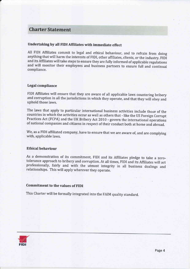# Charter Statement

### Undertaking by all FIDI Affiliates with immediate effect

All FIDI Affiliates commit to legal and ethical behaviour, and to refrain from doing anything that will harm the interests of FIDI, other affiliates, clients, or the industry. FIDI and its Affiliates will take steps to ensure they are fully informed of applicable regulations and will monitor their employees and business partners to ensure full and continual compliance.

#### Legal compliance

FIDI Affiliates will ensure that they are aware of all applicable laws countering bribery and corruption in all the jurisdictions in which they operate, and that they will obey and uphold those laws,

The laws that apply to particular international business activities include those of the countries in which the activities occur as well as others that - like the US Foreign Corrupt Practices Act (FCPA) and the UK Bribery Act 2010 - govern the international operations of national companies and citizens in respect of their conduct both at home and abroad.

We, as a FIDI affiliated company, have to ensure that we are aware of, and are complying with, applicable laws,

#### Ethical behaviour

As a demonstration of its commitment, FIDI and its Affiliates pledge to take a zero-<br>tolerance approach to bribery and corruption. At all times, FIDI and its Affiliates will act professionally, fairly and with the utmost integrity in all business dealings and relationships. This will apply wherever they operate.

#### Commitment to the values of FIDI

This charter will be formally integrated into the FAIM quality standard.

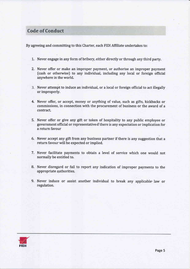# **Code of Conduct**

By agreeing and committing to this Charter, each FIDI Affiliate undertakes to:

- 1. Never engage in any form of bribery, either directly or through any third party
- 2. Never offer or make an improper payment, or authorise an improper payment (cash or otherwise) to any individual, including any local or foreign official anywhere in the world.
- Never attempt to induce an individual, or a local or foreign official to act illegally or improperly.
- 4. Never offer, or accept, money or anything of value, such as gifts, kickbacks or commissions, in connection with the procurement of business or the award of a contract.
- 5. Never offer or give any gift or token of hospitality to any public employee or government official or representative if there is any expectation or implication for a return favour
- 6. Never accept any gift from any business partner if there is any suggestion that <sup>a</sup> return favour will be expected or implied.
- 7. Never facilitate payments to obtain a level of service which one would not normally be entitled to.
- 8. Never disregard or fail to report any indication of improper payments to the appropriate authorities.
- 9. Never induce or assist another individual to break any applicable law or regulation.